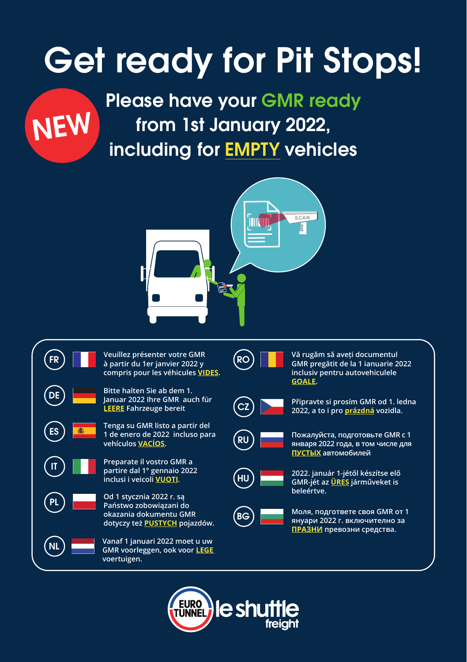# Get ready for Pit Stops!



Please have your GMR ready from 1st January 2022, including for EMPTY vehicles





**à partir du 1er janvier 2022 y compris pour les véhicules VIDES.**

DE **Bitte halten Sie ab dem 1. Januar 2022 Ihre GMR auch für LEERE Fahrzeuge bereit**  CZ **Připravte si prosím GMR od 1. ledna 2022, a to i pro prázdná vozidla.**

ES **Tenga su GMR listo a partir del 1 de enero de 2022 incluso para** 

**Preparate il vostro GMR a partire dal 1° gennaio 2022** 

**okazania dokumentu GMR dotyczy też PUSTYCH pojazdów.**

NL **Vanaf 1 januari 2022 moet u uw GMR voorleggen, ook voor LEGE** 

RO **Vă rugăm să aveți documentul GMR pregătit de la 1 ianuarie 2022** 





**inclusiv pentru autovehiculele** 



**vehículos VACÍOS.** RU **Пожалуйста, подготовьте GMR с 1 января 2022 года, в том числе для ПУСТЫХ автомобилей**



**inclusi i veicoli VUOTI.** HU **2022. január 1-jétől készítse elő GMR-jét az ÜRES járműveket is beleértve.**



BG **Моля, подгответе своя GMR от 1 януари 2022 г. включително за ПРАЗНИ превозни средства.**

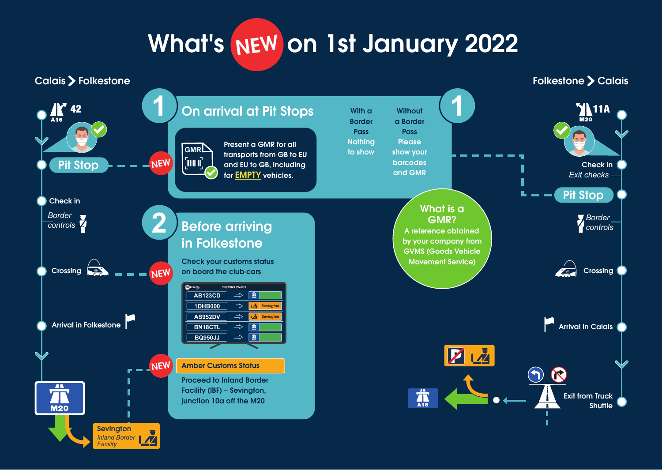# What's NEW on 1st January 2022

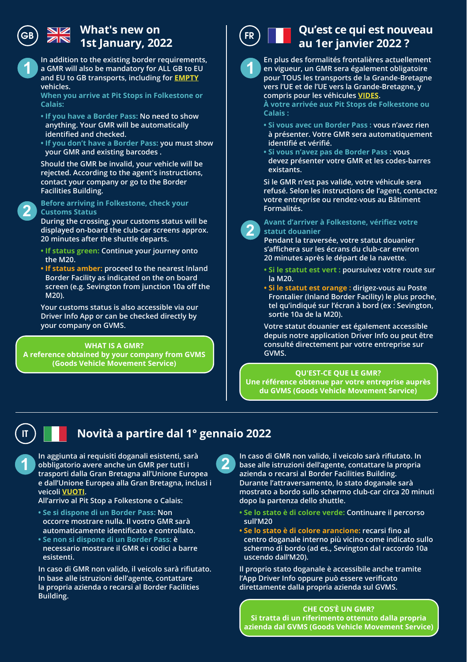## **What's new on**   $\overline{AB}$   $\overline{AB}$   $\overline{AB}$   $\overline{AB}$   $\overline{AB}$   $\overline{AB}$   $\overline{AB}$   $\overline{BC}$   $\overline{BC}$   $\overline{BC}$   $\overline{BC}$   $\overline{BC}$   $\overline{BC}$   $\overline{BC}$   $\overline{BC}$   $\overline{BC}$   $\overline{BC}$   $\overline{BC}$   $\overline{BC}$   $\overline{BC}$   $\overline{BC}$   $\overline{BC}$   $\overline{BC}$   $\overline{BC}$   $\overline{$

**1 1 a** GMR will also be mandatory for ALL GB to EU **1 In addition to the existing border requirements, and EU to GB transports, including for EMPTY vehicles.** 

**When you arrive at Pit Stops in Folkestone or Calais:**

- **If you have a Border Pass: No need to show anything. Your GMR will be automatically identified and checked.**
- **If you don't have a Border Pass: you must show your GMR and existing barcodes .**

**Should the GMR be invalid, your vehicle will be rejected. According to the agent's instructions, contact your company or go to the Border Facilities Building.**

#### **Formalités. Before arriving in Folkestone, check your Customs Status**

**During the crossing, your customs status will be displayed on-board the club-car screens approx. 20 minutes after the shuttle departs.**

- **If status green: Continue your journey onto the M20.**
- **If status amber: proceed to the nearest Inland Border Facility as indicated on the on board screen (e.g. Sevington from junction 10a off the M20).**

**Your customs status is also accessible via our Driver Info App or can be checked directly by your company on GVMS.**

**WHAT IS A GMR? A reference obtained by your company from GVMS (Goods Vehicle Movement Service)** 



## **Qu'est ce qui est nouveau au 1er janvier 2022 ?**



**En plus des formalités frontalières actuellement en vigueur, un GMR sera également obligatoire pour TOUS les transports de la Grande-Bretagne vers l'UE et de l'UE vers la Grande-Bretagne, y compris pour les véhicules VIDES.** 

**À votre arrivée aux Pit Stops de Folkestone ou Calais :**

- **Si vous avec un Border Pass : vous n'avez rien à présenter. Votre GMR sera automatiquement identifié et vérifié.**
- **Si vous n'avez pas de Border Pass : vous devez présenter votre GMR et les codes-barres existants.**

**Si le GMR n'est pas valide, votre véhicule sera refusé. Selon les instructions de l'agent, contactez votre entreprise ou rendez-vous au Bâtiment** 



#### **Avant d'arriver à Folkestone, vérifiez votre statut douanier**

**Pendant la traversée, votre statut douanier s'affichera sur les écrans du club-car environ 20 minutes après le départ de la navette.** 

- **Si le statut est vert : poursuivez votre route sur la M20.**
- **Si le statut est orange : dirigez-vous au Poste Frontalier (Inland Border Facility) le plus proche, tel qu'indiqué sur l'écran à bord (ex : Sevington, sortie 10a de la M20).**

**Votre statut douanier est également accessible depuis notre application Driver Info ou peut être consulté directement par votre entreprise sur GVMS.** 

#### **QU'EST-CE QUE LE GMR?**

**Une référence obtenue par votre entreprise auprès du GVMS (Goods Vehicle Movement Service)**

## IT

## **Novità a partire dal 1° gennaio 2022**

**1 In aggiunta ai requisiti doganali esistenti, sarà obbligatorio avere anche un GMR per tutti i trasporti dalla Gran Bretagna all'Unione Europea e dall'Unione Europea alla Gran Bretagna, inclusi i veicoli VUOTI.** 

**All'arrivo al Pit Stop a Folkestone o Calais:**

- **Se si dispone di un Border Pass: Non occorre mostrare nulla. Il vostro GMR sarà automaticamente identificato e controllato. • Se non si dispone di un Border Pass: è**
- **necessario mostrare il GMR e i codici a barre esistenti.**

**In caso di GMR non valido, il veicolo sarà rifiutato. In base alle istruzioni dell'agente, contattare la propria azienda o recarsi al Border Facilities Building.**

**2 In caso di GMR non valido, il veicolo sarà rifiutato. In base alle istruzioni dell'agente, contattare la propria azienda o recarsi al Border Facilities Building. Durante l'attraversamento, lo stato doganale sarà mostrato a bordo sullo schermo club-car circa 20 minuti dopo la partenza dello shuttle.**

- **Se lo stato è di colore verde: Continuare il percorso sull'M20**
- **Se lo stato è di colore arancione: recarsi fino al centro doganale interno più vicino come indicato sullo schermo di bordo (ad es., Sevington dal raccordo 10a uscendo dall'M20).**

**Il proprio stato doganale è accessibile anche tramite l'App Driver Info oppure può essere verificato direttamente dalla propria azienda sul GVMS.**

**CHE COS'È UN GMR? Si tratta di un riferimento ottenuto dalla propria azienda dal GVMS (Goods Vehicle Movement Service)** 

## **2**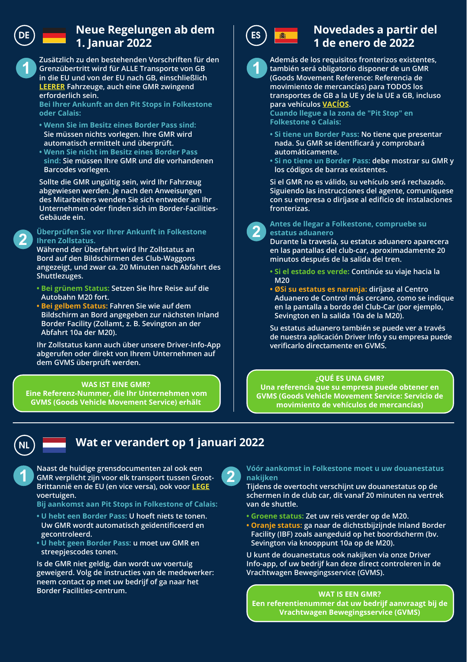## DE) **Neue Regelungen ab dem** (Es **1. Januar 2022**

**1 1 Grenzübertritt wird für ALLE Transporte von GB Zusätzlich zu den bestehenden Vorschriften für den in die EU und von der EU nach GB, einschließlich LEERER Fahrzeuge, auch eine GMR zwingend erforderlich sein.** 

**Bei Ihrer Ankunft an den Pit Stops in Folkestone oder Calais:**

- **Wenn Sie im Besitz eines Border Pass sind: Sie müssen nichts vorlegen. Ihre GMR wird automatisch ermittelt und überprüft.**
- **Wenn Sie nicht im Besitz eines Border Pass sind: Sie müssen Ihre GMR und die vorhandenen Barcodes vorlegen.**

**Sollte die GMR ungültig sein, wird Ihr Fahrzeug abgewiesen werden. Je nach den Anweisungen des Mitarbeiters wenden Sie sich entweder an Ihr Unternehmen oder finden sich im Border-Facilities-Gebäude ein.**

### **<sup>2</sup> <sup>2</sup> Überprüfen Sie vor Ihrer Ankunft in Folkestone Ihren Zollstatus.**

**Während der Überfahrt wird Ihr Zollstatus an Bord auf den Bildschirmen des Club-Waggons angezeigt, und zwar ca. 20 Minuten nach Abfahrt des Shuttlezuges.**

- **Bei grünem Status: Setzen Sie Ihre Reise auf die Autobahn M20 fort.**
- **Bei gelbem Status: Fahren Sie wie auf dem Bildschirm an Bord angegeben zur nächsten Inland Border Facility (Zollamt, z. B. Sevington an der Abfahrt 10a der M20).**

**Ihr Zollstatus kann auch über unsere Driver-Info-App abgerufen oder direkt von Ihrem Unternehmen auf dem GVMS überprüft werden.**

#### **WAS IST EINE GMR?**

**Eine Referenz-Nummer, die Ihr Unternehmen vom GVMS (Goods Vehicle Movement Service) erhält** 



## **Novedades a partir del 1 de enero de 2022**



#### **Además de los requisitos fronterizos existentes, también será obligatorio disponer de un GMR (Goods Movement Reference: Referencia de movimiento de mercancías) para TODOS los transportes de GB a la UE y de la UE a GB, incluso para vehículos VACÍOS.**

**Cuando llegue a la zona de "Pit Stop" en Folkestone o Calais:**

- **Si tiene un Border Pass: No tiene que presentar nada. Su GMR se identificará y comprobará automáticamente.**
- **Si no tiene un Border Pass: debe mostrar su GMR y los códigos de barras existentes.**

**Si el GMR no es válido, su vehículo será rechazado. Siguiendo las instrucciones del agente, comuníquese con su empresa o diríjase al edificio de instalaciones fronterizas.**



#### **Antes de llegar a Folkestone, compruebe su estatus aduanero**

**Durante la travesía, su estatus aduanero aparecera en las pantallas del club-car, aproximadamente 20 minutos después de la salida del tren.**

- **Si el estado es verde: Continúe su viaje hacia la M20**
- **ØSi su estatus es naranja: diríjase al Centro Aduanero de Control más cercano, como se indique en la pantalla a bordo del Club-Car (por ejemplo, Sevington en la salida 10a de la M20).**

**Su estatus aduanero también se puede ver a través de nuestra aplicación Driver Info y su empresa puede verificarlo directamente en GVMS.** 

#### **¿QUÉ ES UNA GMR?**

**Una referencia que su empresa puede obtener en GVMS (Goods Vehicle Movement Service: Servicio de movimiento de vehículos de mercancías)** 



## NL **Wat er verandert op 1 januari 2022**

**1 Naast de huidige grensdocumenten zal ook een**<br>**GMR verplicht zijn voor elk transport tussen Groot-**<br>**GMR verplicht zijn voor een algebruik van de kleure Brittannië en de EU (en vice versa), ook voor LEGE voertuigen.** 

#### **Bij aankomst aan Pit Stops in Folkestone of Calais:**

- **U hebt een Border Pass: U hoeft niets te tonen. Uw GMR wordt automatisch geïdentificeerd en gecontroleerd.**
- **U hebt geen Border Pass: u moet uw GMR en streepjescodes tonen.**

**Is de GMR niet geldig, dan wordt uw voertuig geweigerd. Volg de instructies van de medewerker: neem contact op met uw bedrijf of ga naar het Border Facilities-centrum.**

#### **2 Vóór aankomst in Folkestone moet u uw douanestatus nakijken**

**Tijdens de overtocht verschijnt uw douanestatus op de schermen in de club car, dit vanaf 20 minuten na vertrek van de shuttle.**

- **Groene status: Zet uw reis verder op de M20.**
- **Oranje status: ga naar de dichtstbijzijnde Inland Border Facility (IBF) zoals aangeduid op het boordscherm (bv. Sevington via knooppunt 10a op de M20).**

**U kunt de douanestatus ook nakijken via onze Driver Info-app, of uw bedrijf kan deze direct controleren in de Vrachtwagen Bewegingsservice (GVMS).**

#### **WAT IS EEN GMR?**

**Een referentienummer dat uw bedrijf aanvraagt bij de Vrachtwagen Bewegingsservice (GVMS)**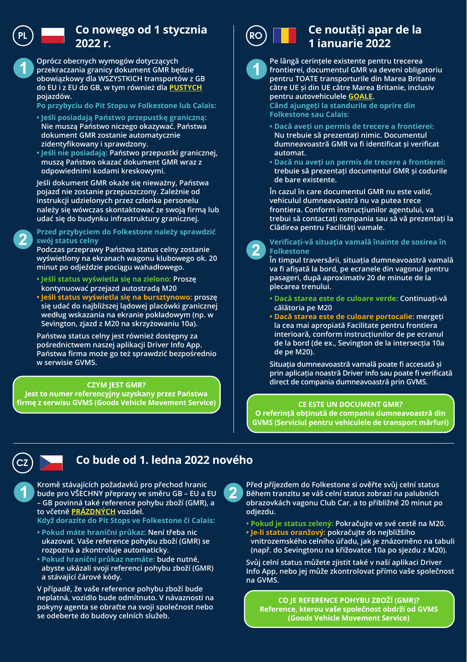

## PL **DECEM** Co nowego od 1 stycznia <sup>i</sup> RO **2022 r.**

**1 1 przekraczania granicy dokument GMR będzie Oprócz obecnych wymogów dotyczących obowiązkowy dla WSZYSTKICH transportów z GB do EU i z EU do GB, w tym również dla PUSTYCH pojazdów.** 

- **Po przybyciu do Pit Stopu w Folkestone lub Calais:**
- **Jeśli posiadają Państwo przepustkę graniczną: Nie muszą Państwo niczego okazywać. Państwa dokument GMR zostanie automatycznie zidentyfikowany i sprawdzony.**
- **Jeśli nie posiadają: Państwo przepustki granicznej, muszą Państwo okazać dokument GMR wraz z odpowiednimi kodami kreskowymi.**

**Jeśli dokument GMR okaże się nieważny, Państwa pojazd nie zostanie przepuszczony. Zależnie od instrukcji udzielonych przez członka personelu należy się wówczas skontaktować ze swoją firmą lub udać się do budynku infrastruktury granicznej.**

#### **Clădirea pentru Facilități vamale. Przed przybyciem do Folkestone należy sprawdzić swój status celny**

**<sup>2</sup> <sup>2</sup> Podczas przeprawy Państwa status celny zostanie wyświetlony na ekranach wagonu klubowego ok. 20 minut po odjeździe pociągu wahadłowego.**

- **Jeśli status wyświetla się na zielono: Proszę kontynuować przejazd autostradą M20**
- **Jeśli status wyświetla się na bursztynowo: proszę się udać do najbliższej lądowej placówki granicznej według wskazania na ekranie pokładowym (np. w Sevington, zjazd z M20 na skrzyżowaniu 10a).**

**Państwa status celny jest również dostępny za pośrednictwem naszej aplikacji Driver Info App. Państwa firma może go też sprawdzić bezpośrednio w serwisie GVMS.**

#### **CZYM JEST GMR?**

**Jest to numer referencyjny uzyskany przez Państwa firmę z serwisu GVMS (Goods Vehicle Movement Service) CE ESTE UN DOCUMENT GMR?** 



## **Ce noutăți apar de la 1 ianuarie 2022**

**Pe lângă cerințele existente pentru trecerea frontierei, documentul GMR va deveni obligatoriu pentru TOATE transporturile din Marea Britanie către UE și din UE către Marea Britanie, inclusiv pentru autovehiculele GOALE.** 

**Când ajungeți la standurile de oprire din Folkestone sau Calais:**

- **Dacă aveți un permis de trecere a frontierei: Nu trebuie să prezentați nimic. Documentul dumneavoastră GMR va fi identificat și verificat automat.**
- **Dacă nu aveți un permis de trecere a frontierei: trebuie să prezentați documentul GMR și codurile de bare existente.**

**În cazul în care documentul GMR nu este valid, vehiculul dumneavoastră nu va putea trece frontiera. Conform instrucțiunilor agentului, va trebui să contactați compania sau să vă prezentați la** 



#### **Verificați-vă situația vamală înainte de sosirea în Folkestone**

**În timpul traversării, situația dumneavoastră vamală va fi afișată la bord, pe ecranele din vagonul pentru pasageri, după aproximativ 20 de minute de la plecarea trenului.**

- **Dacă starea este de culoare verde: Continuați-vă călătoria pe M20**
- **Dacă starea este de culoare portocalie: mergeți la cea mai apropiată Facilitate pentru frontiera interioară, conform instrucțiunilor de pe ecranul de la bord (de ex., Sevington de la intersecția 10a de pe M20).**

**Situația dumneavoastră vamală poate fi accesată și prin aplicația noastră Driver Info sau poate fi verificată direct de compania dumneavoastră prin GVMS.**

**O referință obținută de compania dumneavoastră din GVMS (Serviciul pentru vehiculele de transport mărfuri)** 



### CZ **Co bude od 1. ledna 2022 nového**

**1 Kromě stávajících požadavků pro přechod hranic**<br> **bude pro VŠECHNY přepravy ve směru GB – EU a EU**<br> **bude provinciá taká zaforanea polykulatelit (CMP) – GB povinná také reference pohybu zboží (GMR), a to včetně PRÁZDNÝCH vozidel.** 

**Když dorazíte do Pit Stops ve Folkestone či Calais:**

- **Pokud máte hraniční průkaz: Není třeba nic ukazovat. Vaše reference pohybu zboží (GMR) se rozpozná a zkontroluje automaticky.**
- **Pokud hraniční průkaz nemáte: bude nutné, abyste ukázali svoji referenci pohybu zboží (GMR) a stávající čárové kódy.**

**V případě, že vaše reference pohybu zboží bude neplatná, vozidlo bude odmítnuto. V návaznosti na pokyny agenta se obraťte na svoji společnost nebo se odeberte do budovy celních služeb.**

**2 Před příjezdem do Folkestone si ověřte svůj celní status**<br>Během tranzitu se váš celní status zobrazí na palubních<br>behem transitular a palubních pro palubních po minut pa **obrazovkách vagonu Club Car, a to přibližně 20 minut po odjezdu.**

- **Pokud je status zelený: Pokračujte ve své cestě na M20.**
- **Je-li status oranžový: pokračujte do nejbližšího vnitrozemského celního úřadu, jak je znázorněno na tabuli (např. do Sevingtonu na křižovatce 10a po sjezdu z M20).**

**Svůj celní status můžete zjistit také v naší aplikaci Driver Info App, nebo jej může zkontrolovat přímo vaše společnost na GVMS.**

**CO JE REFERENCE POHYBU ZBOŽÍ (GMR)? Reference, kterou vaše společnost obdrží od GVMS (Goods Vehicle Movement Service)**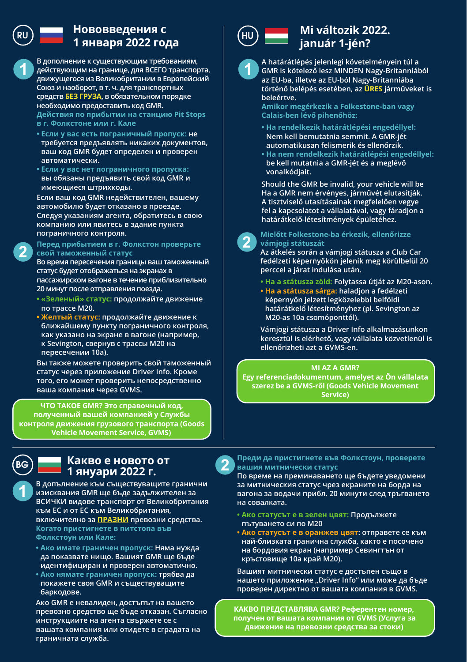## RU HU **Нововведения с 1 января 2022 года**

**1 рействующим на границе, для ВСЕГО транспорта, режиссёр и транспорта, режиссёр и транспорта, режиссёр и транспорта, режиссёр и транспорта, режиссёр и транспорта, режиссёр и транспорта, режиссёр и транспорта, режиссёр и В дополнение к существующим требованиям, движущегося из Великобритании в Европейский Союз и наоборот, в т. ч. для транспортных средств БЕЗ ГРУЗА, в обязательном порядке необходимо предоставить код GMR. Действия по прибытии на станцию Pit Stops в г. Фолкстоне или г. Кале** 

- **Если у вас есть пограничный пропуск: не требуется предъявлять никаких документов, ваш код GMR будет определен и проверен автоматически.**
- **Если у вас нет пограничного пропуска: вы обязаны предъявить свой код GMR и имеющиеся штрихкоды.**

**Если ваш код GMR недействителен, вашему автомобилю будет отказано в проезде. Следуя указаниям агента, обратитесь в свою компанию или явитесь в здание пункта пограничного контроля.**

**<sup>2</sup> <sup>2</sup> Перед прибытием в г. Фолкстон проверьте свой таможенный статус** 

**Во время пересечения границы ваш таможенный статус будет отображаться на экранах в пассажирском вагоне в течение приблизительно 20 минут после отправления поезда.** 

- **«Зеленый» статус: продолжайте движение по трассе M20.**
- **Желтый статус: продолжайте движение к ближайшему пункту пограничного контроля, как указано на экране в вагоне (например, к Sevington, свернув с трассы M20 на пересечении 10a).**

**Вы также можете проверить свой таможенный статус через приложение Driver Info. Кроме того, его может проверить непосредственно ваша компания через GVMS.** 

**ЧТО ТАКОЕ GMR? Это справочный код, полученный вашей компанией у Службы контроля движения грузового транспорта (Goods Vehicle Movement Service, GVMS)** 



#### **Какво е новото от 1 януари 2022 г.**

**1** В допълнение към съществуващите гранични<br>**В ДИЛИ СТАРИЯ GMR ще бъде задължителен за резиск**<br>В СИЛИИ РИВОВ ТРАНИЕТО В РЕЗИСАНИЕТО **ВСИЧКИ видове транспорт от Великобритания към ЕС и от ЕС към Великобритания, включително за ПРАЗНИ превозни средства. Когато пристигнете в питстопа във Фолкстоун или Кале:**

- **Ако имате граничен пропуск: Няма нужда да показвате нищо. Вашият GMR ще бъде идентифициран и проверен автоматично.**
- **Ако нямате граничен пропуск: трябва да покажете своя GMR и съществуващите баркодове.**

**Ако GMR е невалиден, достъпът на вашето превозно средство ще бъде отказан. Съгласно инструкциите на агента свържете се с вашата компания или отидете в сградата на граничната служба.**



## **Mi változik 2022. január 1-jén?**

**A határátlépés jelenlegi követelményein túl a GMR is kötelező lesz MINDEN Nagy-Britanniából az EU-ba, illetve az EU-ból Nagy-Britanniába történő belépés esetében, az ÜRES járműveket is beleértve.** 

**Amikor megérkezik a Folkestone-ban vagy Calais-ben lévő pihenőhöz:** 

- **Ha rendelkezik határátlépési engedéllyel: Nem kell bemutatnia semmit. A GMR-jét automatikusan felismerik és ellenőrzik.**
- **Ha nem rendelkezik határátlépési engedéllyel: be kell mutatnia a GMR-jét és a meglévő vonalkódjait.**

**Should the GMR be invalid, your vehicle will be Ha a GMR nem érvényes, járművét elutasítják. A tisztviselő utasításainak megfelelően vegye fel a kapcsolatot a vállalatával, vagy fáradjon a határátkelő-létesítmények épületéhez.**



**Az átkelés során a vámjogi státusza a Club Car fedélzeti képernyőkön jelenik meg körülbelül 20 perccel a járat indulása után.**

- **Ha a státusza zöld: Folytassa útját az M20-ason.**
- **Ha a státusza sárga: haladjon a fedélzeti képernyőn jelzett legközelebbi belföldi határátkelő létesítményhez (pl. Sevington az M20-as 10a csomóponttól).**

**Vámjogi státusza a Driver Info alkalmazásunkon keresztül is elérhető, vagy vállalata közvetlenül is ellenőrizheti azt a GVMS-en.**

#### **MI AZ A GMR?**

**Egy referenciadokumentum, amelyet az Ön vállalata szerez be a GVMS-ről (Goods Vehicle Movement Service)** 



**По време на преминаването ще бъдете уведомени за митническия статус чрез екраните на борда на вагона за водачи прибл. 20 минути след тръгването на совалката.**

- **Ако статусът е в зелен цвят: Продължете пътуването си по M20**
- **Ако статусът е в оранжев цвят: отправете се към най-близката гранична служба, както е посочено на бордовия екран (например Севингтън от кръстовище 10a край M20).**

**Вашият митнически статус е достъпен също в нашето приложение "Driver Info" или може да бъде проверен директно от вашата компания в GVMS.**

**КАКВО ПРЕДСТАВЛЯВА GMR? Референтен номер, получен от вашата компания от GVMS (Услуга за движение на превозни средства за стоки)**